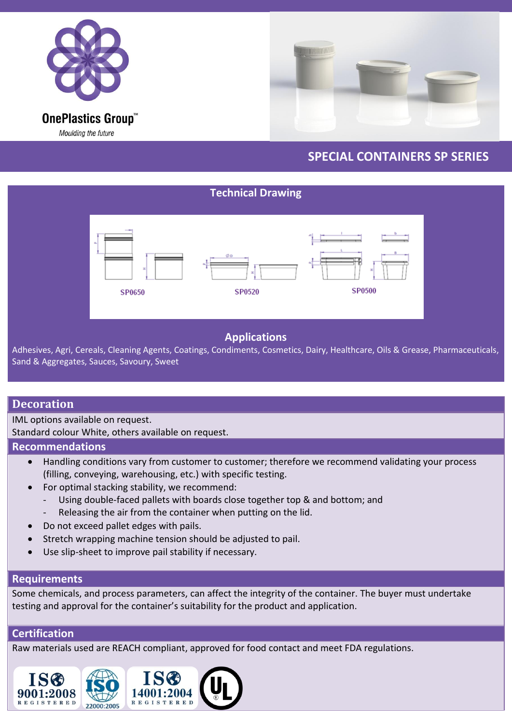



## **SPECIAL CONTAINERS SP SERIES**

# **Technical Drawing** SP0500 SP0650 SP0520

## **Applications**

Adhesives, Agri, Cereals, Cleaning Agents, Coatings, Condiments, Cosmetics, Dairy, Healthcare, Oils & Grease, Pharmaceuticals, Sand & Aggregates, Sauces, Savoury, Sweet

### **Decoration**

IML options available on request.

Standard colour White, others available on request.

#### **Recommendations**

- Handling conditions vary from customer to customer; therefore we recommend validating your process (filling, conveying, warehousing, etc.) with specific testing.
- For optimal stacking stability, we recommend:
	- Using double-faced pallets with boards close together top & and bottom; and
	- Releasing the air from the container when putting on the lid.
- Do not exceed pallet edges with pails.
- Stretch wrapping machine tension should be adjusted to pail.
- Use slip-sheet to improve pail stability if necessary.

#### **Requirements**

Some chemicals, and process parameters, can affect the integrity of the container. The buyer must undertake testing and approval for the container's suitability for the product and application.

#### **Certification**

Raw materials used are REACH compliant, approved for food contact and meet FDA regulations.